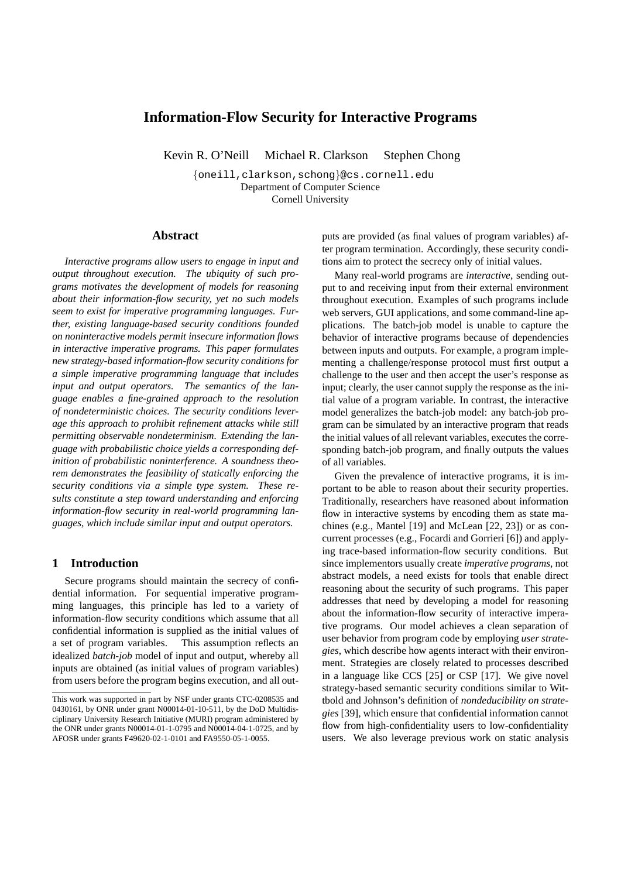# **Information-Flow Security for Interactive Programs**

Kevin R. O'Neill Michael R. Clarkson Stephen Chong

{oneill,clarkson,schong}@cs.cornell.edu Department of Computer Science Cornell University

# **Abstract**

*Interactive programs allow users to engage in input and output throughout execution. The ubiquity of such programs motivates the development of models for reasoning about their information-flow security, yet no such models seem to exist for imperative programming languages. Further, existing language-based security conditions founded on noninteractive models permit insecure information flows in interactive imperative programs. This paper formulates new strategy-based information-flow security conditions for a simple imperative programming language that includes input and output operators. The semantics of the language enables a fine-grained approach to the resolution of nondeterministic choices. The security conditions leverage this approach to prohibit refinement attacks while still permitting observable nondeterminism. Extending the language with probabilistic choice yields a corresponding definition of probabilistic noninterference. A soundness theorem demonstrates the feasibility of statically enforcing the security conditions via a simple type system. These results constitute a step toward understanding and enforcing information-flow security in real-world programming languages, which include similar input and output operators.*

# **1 Introduction**

Secure programs should maintain the secrecy of confidential information. For sequential imperative programming languages, this principle has led to a variety of information-flow security conditions which assume that all confidential information is supplied as the initial values of a set of program variables. This assumption reflects an idealized *batch-job* model of input and output, whereby all inputs are obtained (as initial values of program variables) from users before the program begins execution, and all outputs are provided (as final values of program variables) after program termination. Accordingly, these security conditions aim to protect the secrecy only of initial values.

Many real-world programs are *interactive*, sending output to and receiving input from their external environment throughout execution. Examples of such programs include web servers, GUI applications, and some command-line applications. The batch-job model is unable to capture the behavior of interactive programs because of dependencies between inputs and outputs. For example, a program implementing a challenge/response protocol must first output a challenge to the user and then accept the user's response as input; clearly, the user cannot supply the response as the initial value of a program variable. In contrast, the interactive model generalizes the batch-job model: any batch-job program can be simulated by an interactive program that reads the initial values of all relevant variables, executes the corresponding batch-job program, and finally outputs the values of all variables.

Given the prevalence of interactive programs, it is important to be able to reason about their security properties. Traditionally, researchers have reasoned about information flow in interactive systems by encoding them as state machines (e.g., Mantel [19] and McLean [22, 23]) or as concurrent processes (e.g., Focardi and Gorrieri [6]) and applying trace-based information-flow security conditions. But since implementors usually create *imperative programs*, not abstract models, a need exists for tools that enable direct reasoning about the security of such programs. This paper addresses that need by developing a model for reasoning about the information-flow security of interactive imperative programs. Our model achieves a clean separation of user behavior from program code by employing *user strategies*, which describe how agents interact with their environment. Strategies are closely related to processes described in a language like CCS [25] or CSP [17]. We give novel strategy-based semantic security conditions similar to Wittbold and Johnson's definition of *nondeducibility on strategies* [39], which ensure that confidential information cannot flow from high-confidentiality users to low-confidentiality users. We also leverage previous work on static analysis

This work was supported in part by NSF under grants CTC-0208535 and 0430161, by ONR under grant N00014-01-10-511, by the DoD Multidisciplinary University Research Initiative (MURI) program administered by the ONR under grants N00014-01-1-0795 and N00014-04-1-0725, and by AFOSR under grants F49620-02-1-0101 and FA9550-05-1-0055.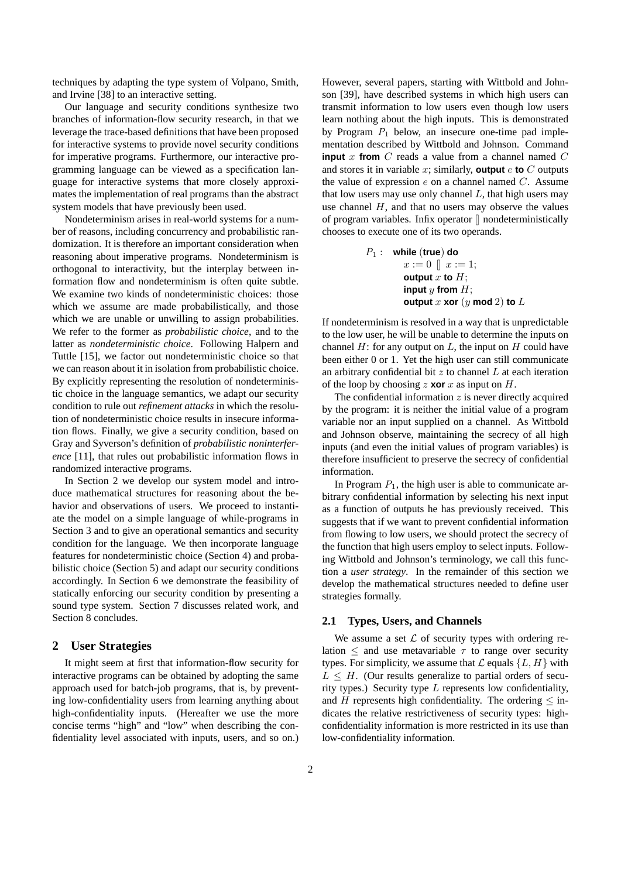techniques by adapting the type system of Volpano, Smith, and Irvine [38] to an interactive setting.

Our language and security conditions synthesize two branches of information-flow security research, in that we leverage the trace-based definitions that have been proposed for interactive systems to provide novel security conditions for imperative programs. Furthermore, our interactive programming language can be viewed as a specification language for interactive systems that more closely approximates the implementation of real programs than the abstract system models that have previously been used.

Nondeterminism arises in real-world systems for a number of reasons, including concurrency and probabilistic randomization. It is therefore an important consideration when reasoning about imperative programs. Nondeterminism is orthogonal to interactivity, but the interplay between information flow and nondeterminism is often quite subtle. We examine two kinds of nondeterministic choices: those which we assume are made probabilistically, and those which we are unable or unwilling to assign probabilities. We refer to the former as *probabilistic choice*, and to the latter as *nondeterministic choice*. Following Halpern and Tuttle [15], we factor out nondeterministic choice so that we can reason about it in isolation from probabilistic choice. By explicitly representing the resolution of nondeterministic choice in the language semantics, we adapt our security condition to rule out *refinement attacks* in which the resolution of nondeterministic choice results in insecure information flows. Finally, we give a security condition, based on Gray and Syverson's definition of *probabilistic noninterference* [11], that rules out probabilistic information flows in randomized interactive programs.

In Section 2 we develop our system model and introduce mathematical structures for reasoning about the behavior and observations of users. We proceed to instantiate the model on a simple language of while-programs in Section 3 and to give an operational semantics and security condition for the language. We then incorporate language features for nondeterministic choice (Section 4) and probabilistic choice (Section 5) and adapt our security conditions accordingly. In Section 6 we demonstrate the feasibility of statically enforcing our security condition by presenting a sound type system. Section 7 discusses related work, and Section 8 concludes.

### **2 User Strategies**

It might seem at first that information-flow security for interactive programs can be obtained by adopting the same approach used for batch-job programs, that is, by preventing low-confidentiality users from learning anything about high-confidentiality inputs. (Hereafter we use the more concise terms "high" and "low" when describing the confidentiality level associated with inputs, users, and so on.) However, several papers, starting with Wittbold and Johnson [39], have described systems in which high users can transmit information to low users even though low users learn nothing about the high inputs. This is demonstrated by Program  $P_1$  below, an insecure one-time pad implementation described by Wittbold and Johnson. Command **input** x **from** C reads a value from a channel named C and stores it in variable x; similarly, **output** e **to**  $C$  outputs the value of expression  $e$  on a channel named  $C$ . Assume that low users may use only channel  $L$ , that high users may use channel  $H$ , and that no users may observe the values of program variables. Infix operator  $\parallel$  nondeterministically chooses to execute one of its two operands.

> P<sup>1</sup> : **while** (**true**) **do**  $x := 0 \parallel x := 1;$ **output**  $x$  to  $H$ ; **input** y **from** H; **output** x **xor**  $(y \mod 2)$  **to** L

If nondeterminism is resolved in a way that is unpredictable to the low user, he will be unable to determine the inputs on channel  $H$ : for any output on  $L$ , the input on  $H$  could have been either 0 or 1. Yet the high user can still communicate an arbitrary confidential bit  $z$  to channel  $L$  at each iteration of the loop by choosing  $z$  **xor**  $x$  as input on  $H$ .

The confidential information  $z$  is never directly acquired by the program: it is neither the initial value of a program variable nor an input supplied on a channel. As Wittbold and Johnson observe, maintaining the secrecy of all high inputs (and even the initial values of program variables) is therefore insufficient to preserve the secrecy of confidential information.

In Program  $P_1$ , the high user is able to communicate arbitrary confidential information by selecting his next input as a function of outputs he has previously received. This suggests that if we want to prevent confidential information from flowing to low users, we should protect the secrecy of the function that high users employ to select inputs. Following Wittbold and Johnson's terminology, we call this function a *user strategy*. In the remainder of this section we develop the mathematical structures needed to define user strategies formally.

## **2.1 Types, Users, and Channels**

We assume a set  $\mathcal L$  of security types with ordering relation  $\leq$  and use metavariable  $\tau$  to range over security types. For simplicity, we assume that  $\mathcal L$  equals  $\{L, H\}$  with  $L \leq H$ . (Our results generalize to partial orders of security types.) Security type  $L$  represents low confidentiality, and H represents high confidentiality. The ordering  $\leq$  indicates the relative restrictiveness of security types: highconfidentiality information is more restricted in its use than low-confidentiality information.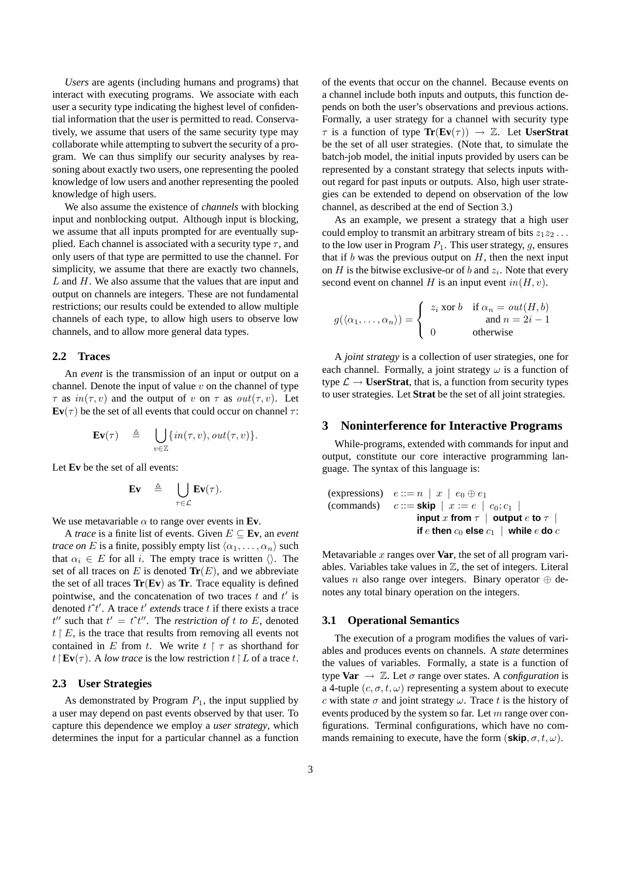*Users* are agents (including humans and programs) that interact with executing programs. We associate with each user a security type indicating the highest level of confidential information that the user is permitted to read. Conservatively, we assume that users of the same security type may collaborate while attempting to subvert the security of a program. We can thus simplify our security analyses by reasoning about exactly two users, one representing the pooled knowledge of low users and another representing the pooled knowledge of high users.

We also assume the existence of *channels* with blocking input and nonblocking output. Although input is blocking, we assume that all inputs prompted for are eventually supplied. Each channel is associated with a security type  $\tau$ , and only users of that type are permitted to use the channel. For simplicity, we assume that there are exactly two channels,  $L$  and  $H$ . We also assume that the values that are input and output on channels are integers. These are not fundamental restrictions; our results could be extended to allow multiple channels of each type, to allow high users to observe low channels, and to allow more general data types.

#### **2.2 Traces**

An *event* is the transmission of an input or output on a channel. Denote the input of value  $v$  on the channel of type  $\tau$  as  $in(\tau, v)$  and the output of v on  $\tau$  as  $out(\tau, v)$ . Let  $\mathbf{E} \mathbf{v}(\tau)$  be the set of all events that could occur on channel  $\tau$ :

$$
\mathbf{Ev}(\tau) \quad \triangleq \quad \bigcup_{v \in \mathbb{Z}} \{in(\tau, v), out(\tau, v)\}.
$$

Let **Ev** be the set of all events:

$$
\mathbf{E} \mathbf{v} \quad \triangleq \quad \bigcup_{\tau \in \mathcal{L}} \mathbf{E} \mathbf{v}(\tau).
$$

We use metavariable  $\alpha$  to range over events in **Ev**.

A *trace* is a finite list of events. Given  $E \subseteq \mathbf{Ev}$ , an *event trace on* E is a finite, possibly empty list  $\langle \alpha_1, \ldots, \alpha_n \rangle$  such that  $\alpha_i \in E$  for all i. The empty trace is written  $\langle \rangle$ . The set of all traces on  $E$  is denoted  $Tr(E)$ , and we abbreviate the set of all traces **Tr**(**Ev**) as **Tr**. Trace equality is defined pointwise, and the concatenation of two traces  $t$  and  $t'$  is denoted  $t^t$ . A trace  $t'$  *extends* trace  $t$  if there exists a trace  $t''$  such that  $t' = t^t t''$ . The *restriction of* t to E, denoted  $t \restriction E$ , is the trace that results from removing all events not contained in E from t. We write  $t \restriction \tau$  as shorthand for  $t \upharpoonright \mathbf{Ev}(\tau)$ . A *low trace* is the low restriction  $t \upharpoonright L$  of a trace t.

#### **2.3 User Strategies**

As demonstrated by Program  $P_1$ , the input supplied by a user may depend on past events observed by that user. To capture this dependence we employ a *user strategy*, which determines the input for a particular channel as a function of the events that occur on the channel. Because events on a channel include both inputs and outputs, this function depends on both the user's observations and previous actions. Formally, a user strategy for a channel with security type  $\tau$  is a function of type  $\text{Tr}(\text{Ev}(\tau)) \rightarrow \mathbb{Z}$ . Let **UserStrat** be the set of all user strategies. (Note that, to simulate the batch-job model, the initial inputs provided by users can be represented by a constant strategy that selects inputs without regard for past inputs or outputs. Also, high user strategies can be extended to depend on observation of the low channel, as described at the end of Section 3.)

As an example, we present a strategy that a high user could employ to transmit an arbitrary stream of bits  $z_1z_2 \ldots$ to the low user in Program  $P_1$ . This user strategy, g, ensures that if  $b$  was the previous output on  $H$ , then the next input on  $H$  is the bitwise exclusive-or of  $b$  and  $z_i$ . Note that every second event on channel H is an input event  $in(H, v)$ .

$$
g(\langle \alpha_1, \ldots, \alpha_n \rangle) = \begin{cases} z_i \text{ xor } b & \text{if } \alpha_n = out(H, b) \\ \text{ and } n = 2i - 1 \\ 0 & \text{otherwise} \end{cases}
$$

A *joint strategy* is a collection of user strategies, one for each channel. Formally, a joint strategy  $\omega$  is a function of type  $\mathcal{L} \rightarrow$  **UserStrat**, that is, a function from security types to user strategies. Let **Strat** be the set of all joint strategies.

### **3 Noninterference for Interactive Programs**

While-programs, extended with commands for input and output, constitute our core interactive programming language. The syntax of this language is:

(expressions) 
$$
e ::= n \mid x \mid e_0 \oplus e_1
$$

\n(commands)  $c ::= \textbf{skip} \mid x := e \mid c_0; c_1 \mid$ 

\n $\text{input } x \text{ from } \tau \mid \text{output } e \text{ to } \tau \mid$ 

\n $\text{if } e \text{ then } c_0 \text{ else } c_1 \mid \text{while } e \text{ do } c$ 

Metavariable  $x$  ranges over **Var**, the set of all program variables. Variables take values in  $\mathbb{Z}$ , the set of integers. Literal values n also range over integers. Binary operator  $oplus$  denotes any total binary operation on the integers.

## **3.1 Operational Semantics**

The execution of a program modifies the values of variables and produces events on channels. A *state* determines the values of variables. Formally, a state is a function of type  $\text{Var} \rightarrow \mathbb{Z}$ . Let  $\sigma$  range over states. A *configuration* is a 4-tuple  $(c, \sigma, t, \omega)$  representing a system about to execute c with state  $\sigma$  and joint strategy  $\omega$ . Trace t is the history of events produced by the system so far. Let  $m$  range over configurations. Terminal configurations, which have no commands remaining to execute, have the form (**skip**,  $\sigma$ ,  $t$ ,  $\omega$ ).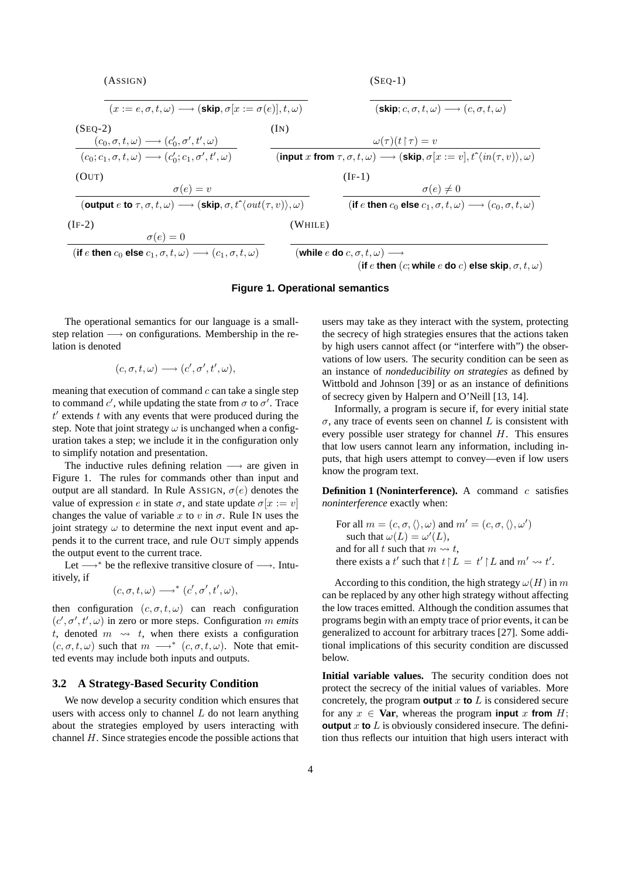

#### **Figure 1. Operational semantics**

The operational semantics for our language is a smallstep relation → on configurations. Membership in the relation is denoted

$$
(c, \sigma, t, \omega) \longrightarrow (c', \sigma', t', \omega),
$$

meaning that execution of command  $c$  can take a single step to command c', while updating the state from  $\sigma$  to  $\sigma'$ . Trace  $t'$  extends  $t$  with any events that were produced during the step. Note that joint strategy  $\omega$  is unchanged when a configuration takes a step; we include it in the configuration only to simplify notation and presentation.

The inductive rules defining relation  $\longrightarrow$  are given in Figure 1. The rules for commands other than input and output are all standard. In Rule ASSIGN,  $\sigma(e)$  denotes the value of expression e in state  $\sigma$ , and state update  $\sigma[x := v]$ changes the value of variable x to v in  $\sigma$ . Rule IN uses the joint strategy  $\omega$  to determine the next input event and appends it to the current trace, and rule OUT simply appends the output event to the current trace.

Let  $\longrightarrow^*$  be the reflexive transitive closure of  $\longrightarrow$ . Intuitively, if

$$
(c, \sigma, t, \omega) \longrightarrow^* (c', \sigma', t', \omega),
$$

then configuration  $(c, \sigma, t, \omega)$  can reach configuration  $(c', \sigma', t', \omega)$  in zero or more steps. Configuration m *emits* t, denoted  $m \leftrightarrow t$ , when there exists a configuration  $(c, \sigma, t, \omega)$  such that  $m \rightarrow^* (c, \sigma, t, \omega)$ . Note that emitted events may include both inputs and outputs.

#### **3.2 A Strategy-Based Security Condition**

We now develop a security condition which ensures that users with access only to channel  $L$  do not learn anything about the strategies employed by users interacting with channel H. Since strategies encode the possible actions that users may take as they interact with the system, protecting the secrecy of high strategies ensures that the actions taken by high users cannot affect (or "interfere with") the observations of low users. The security condition can be seen as an instance of *nondeducibility on strategies* as defined by Wittbold and Johnson [39] or as an instance of definitions of secrecy given by Halpern and O'Neill [13, 14].

Informally, a program is secure if, for every initial state  $\sigma$ , any trace of events seen on channel L is consistent with every possible user strategy for channel H. This ensures that low users cannot learn any information, including inputs, that high users attempt to convey—even if low users know the program text.

**Definition 1 (Noninterference).** A command c satisfies *noninterference* exactly when:

For all  $m = (c, \sigma, \langle \rangle, \omega)$  and  $m' = (c, \sigma, \langle \rangle, \omega')$ such that  $\omega(L) = \omega'(L)$ , and for all t such that  $m \rightsquigarrow t$ , there exists a t' such that  $t \upharpoonright L = t' \upharpoonright L$  and  $m' \rightsquigarrow t'$ .

According to this condition, the high strategy  $\omega(H)$  in m can be replaced by any other high strategy without affecting the low traces emitted. Although the condition assumes that programs begin with an empty trace of prior events, it can be generalized to account for arbitrary traces [27]. Some additional implications of this security condition are discussed below.

**Initial variable values.** The security condition does not protect the secrecy of the initial values of variables. More concretely, the program **output**  $x$  to  $L$  is considered secure for any  $x \in \textbf{Var}$ , whereas the program **input** x from H; **output** x **to**  $L$  is obviously considered insecure. The definition thus reflects our intuition that high users interact with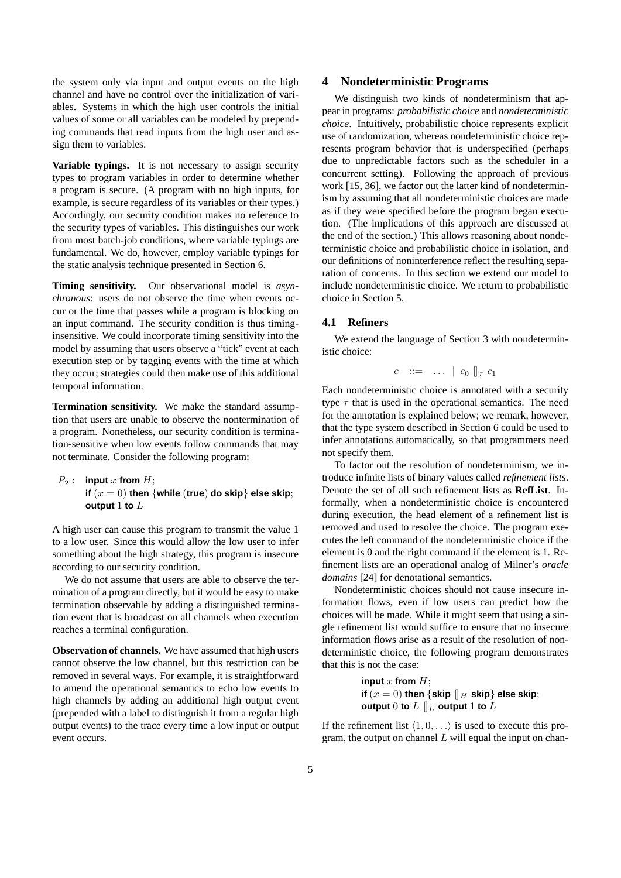the system only via input and output events on the high channel and have no control over the initialization of variables. Systems in which the high user controls the initial values of some or all variables can be modeled by prepending commands that read inputs from the high user and assign them to variables.

**Variable typings.** It is not necessary to assign security types to program variables in order to determine whether a program is secure. (A program with no high inputs, for example, is secure regardless of its variables or their types.) Accordingly, our security condition makes no reference to the security types of variables. This distinguishes our work from most batch-job conditions, where variable typings are fundamental. We do, however, employ variable typings for the static analysis technique presented in Section 6.

**Timing sensitivity.** Our observational model is *asynchronous*: users do not observe the time when events occur or the time that passes while a program is blocking on an input command. The security condition is thus timinginsensitive. We could incorporate timing sensitivity into the model by assuming that users observe a "tick" event at each execution step or by tagging events with the time at which they occur; strategies could then make use of this additional temporal information.

**Termination sensitivity.** We make the standard assumption that users are unable to observe the nontermination of a program. Nonetheless, our security condition is termination-sensitive when low events follow commands that may not terminate. Consider the following program:

 $P_2$  : **input** x **from** H; **if**  $(x = 0)$  **then** {while (**true**) **do skip**} **else skip**; **output** 1 **to** L

A high user can cause this program to transmit the value 1 to a low user. Since this would allow the low user to infer something about the high strategy, this program is insecure according to our security condition.

We do not assume that users are able to observe the termination of a program directly, but it would be easy to make termination observable by adding a distinguished termination event that is broadcast on all channels when execution reaches a terminal configuration.

**Observation of channels.** We have assumed that high users cannot observe the low channel, but this restriction can be removed in several ways. For example, it is straightforward to amend the operational semantics to echo low events to high channels by adding an additional high output event (prepended with a label to distinguish it from a regular high output events) to the trace every time a low input or output event occurs.

## **4 Nondeterministic Programs**

We distinguish two kinds of nondeterminism that appear in programs: *probabilistic choice* and *nondeterministic choice*. Intuitively, probabilistic choice represents explicit use of randomization, whereas nondeterministic choice represents program behavior that is underspecified (perhaps due to unpredictable factors such as the scheduler in a concurrent setting). Following the approach of previous work [15, 36], we factor out the latter kind of nondeterminism by assuming that all nondeterministic choices are made as if they were specified before the program began execution. (The implications of this approach are discussed at the end of the section.) This allows reasoning about nondeterministic choice and probabilistic choice in isolation, and our definitions of noninterference reflect the resulting separation of concerns. In this section we extend our model to include nondeterministic choice. We return to probabilistic choice in Section 5.

#### **4.1 Refiners**

We extend the language of Section 3 with nondeterministic choice:

$$
c \quad ::= \quad \ldots \mid c_0 \parallel_{\tau} c_1
$$

Each nondeterministic choice is annotated with a security type  $\tau$  that is used in the operational semantics. The need for the annotation is explained below; we remark, however, that the type system described in Section 6 could be used to infer annotations automatically, so that programmers need not specify them.

To factor out the resolution of nondeterminism, we introduce infinite lists of binary values called *refinement lists*. Denote the set of all such refinement lists as **RefList**. Informally, when a nondeterministic choice is encountered during execution, the head element of a refinement list is removed and used to resolve the choice. The program executes the left command of the nondeterministic choice if the element is 0 and the right command if the element is 1. Refinement lists are an operational analog of Milner's *oracle domains* [24] for denotational semantics.

Nondeterministic choices should not cause insecure information flows, even if low users can predict how the choices will be made. While it might seem that using a single refinement list would suffice to ensure that no insecure information flows arise as a result of the resolution of nondeterministic choice, the following program demonstrates that this is not the case:

> **input**  $x$  **from**  $H$ ; **if**  $(x = 0)$  then {skip  $\left[\right]_H$  skip} else skip; **output**  $0$  **to**  $L \parallel_L$  **output**  $1$  **to**  $L$

If the refinement list  $\langle 1, 0, \ldots \rangle$  is used to execute this program, the output on channel  $L$  will equal the input on chan-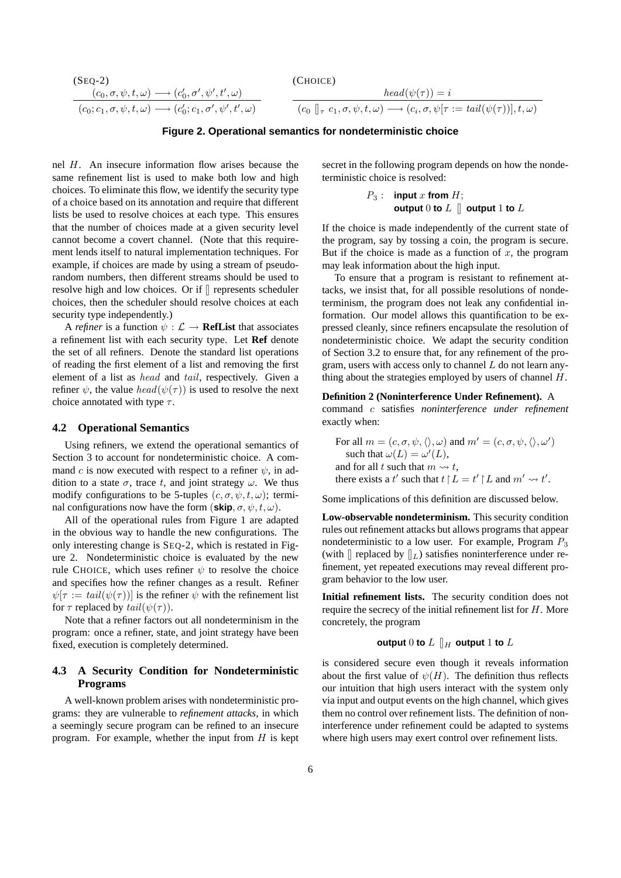$$
\begin{array}{ccc}\n(\text{SeQ-2}) & & (\text{CholCE}) & & \\
(c_0, \sigma, \psi, t, \omega) \longrightarrow (c'_0, \sigma', \psi', t', \omega) & & \text{head}(\psi(\tau)) = i \\
(c_0; c_1, \sigma, \psi, t, \omega) \longrightarrow (c'_0; c_1, \sigma', \psi', t', \omega) & & (c_0 \parallel_{\tau} c_1, \sigma, \psi, t, \omega) \longrightarrow (c_i, \sigma, \psi[\tau := tail(\psi(\tau))], t, \omega)\n\end{array}
$$

#### **Figure 2. Operational semantics for nondeterministic choice**

nel  $H$ . An insecure information flow arises because the same refinement list is used to make both low and high choices. To eliminate this flow, we identify the security type of a choice based on its annotation and require that different lists be used to resolve choices at each type. This ensures that the number of choices made at a given security level cannot become a covert channel. (Note that this requirement lends itself to natural implementation techniques. For example, if choices are made by using a stream of pseudorandom numbers, then different streams should be used to resolve high and low choices. Or if  $\parallel$  represents scheduler choices, then the scheduler should resolve choices at each security type independently.)

A *refiner* is a function  $\psi : \mathcal{L} \to \textbf{RefList}$  that associates a refinement list with each security type. Let **Ref** denote the set of all refiners. Denote the standard list operations of reading the first element of a list and removing the first element of a list as head and tail, respectively. Given a refiner  $\psi$ , the value  $head(\psi(\tau))$  is used to resolve the next choice annotated with type  $\tau$ .

## **4.2 Operational Semantics**

Using refiners, we extend the operational semantics of Section 3 to account for nondeterministic choice. A command c is now executed with respect to a refiner  $\psi$ , in addition to a state  $\sigma$ , trace t, and joint strategy  $\omega$ . We thus modify configurations to be 5-tuples  $(c, \sigma, \psi, t, \omega)$ ; terminal configurations now have the form  $(\text{skip}, \sigma, \psi, t, \omega)$ .

All of the operational rules from Figure 1 are adapted in the obvious way to handle the new configurations. The only interesting change is SEQ-2, which is restated in Figure 2. Nondeterministic choice is evaluated by the new rule CHOICE, which uses refiner  $\psi$  to resolve the choice and specifies how the refiner changes as a result. Refiner  $\psi[\tau := tail(\psi(\tau))]$  is the refiner  $\psi$  with the refinement list for  $\tau$  replaced by  $tail(\psi(\tau))$ .

Note that a refiner factors out all nondeterminism in the program: once a refiner, state, and joint strategy have been fixed, execution is completely determined.

# **4.3 A Security Condition for Nondeterministic Programs**

A well-known problem arises with nondeterministic programs: they are vulnerable to *refinement attacks*, in which a seemingly secure program can be refined to an insecure program. For example, whether the input from  $H$  is kept secret in the following program depends on how the nondeterministic choice is resolved:

$$
P_3: \quad \text{input } x \text{ from } H; \\ \text{output } 0 \text{ to } L \parallel \text{ output } 1 \text{ to } L
$$

If the choice is made independently of the current state of the program, say by tossing a coin, the program is secure. But if the choice is made as a function of  $x$ , the program may leak information about the high input.

To ensure that a program is resistant to refinement attacks, we insist that, for all possible resolutions of nondeterminism, the program does not leak any confidential information. Our model allows this quantification to be expressed cleanly, since refiners encapsulate the resolution of nondeterministic choice. We adapt the security condition of Section 3.2 to ensure that, for any refinement of the program, users with access only to channel  $L$  do not learn anything about the strategies employed by users of channel H.

# **Definition 2 (Noninterference Under Refinement).** A

command c satisfies *noninterference under refinement* exactly when:

For all  $m = (c, \sigma, \psi, \langle \rangle, \omega)$  and  $m' = (c, \sigma, \psi, \langle \rangle, \omega')$ such that  $\omega(L) = \omega'(L)$ , and for all t such that  $m \rightsquigarrow t$ , there exists a t' such that  $t \upharpoonright L = t' \upharpoonright L$  and  $m' \leadsto t'$ .

Some implications of this definition are discussed below.

**Low-observable nondeterminism.** This security condition rules out refinement attacks but allows programs that appear nondeterministic to a low user. For example, Program  $P_3$ (with  $\parallel$  replaced by  $\parallel$ <sub>L</sub>) satisfies noninterference under refinement, yet repeated executions may reveal different program behavior to the low user.

**Initial refinement lists.** The security condition does not require the secrecy of the initial refinement list for H. More concretely, the program

output 0 to 
$$
L \parallel_H
$$
 output 1 to  $L$ 

is considered secure even though it reveals information about the first value of  $\psi(H)$ . The definition thus reflects our intuition that high users interact with the system only via input and output events on the high channel, which gives them no control over refinement lists. The definition of noninterference under refinement could be adapted to systems where high users may exert control over refinement lists.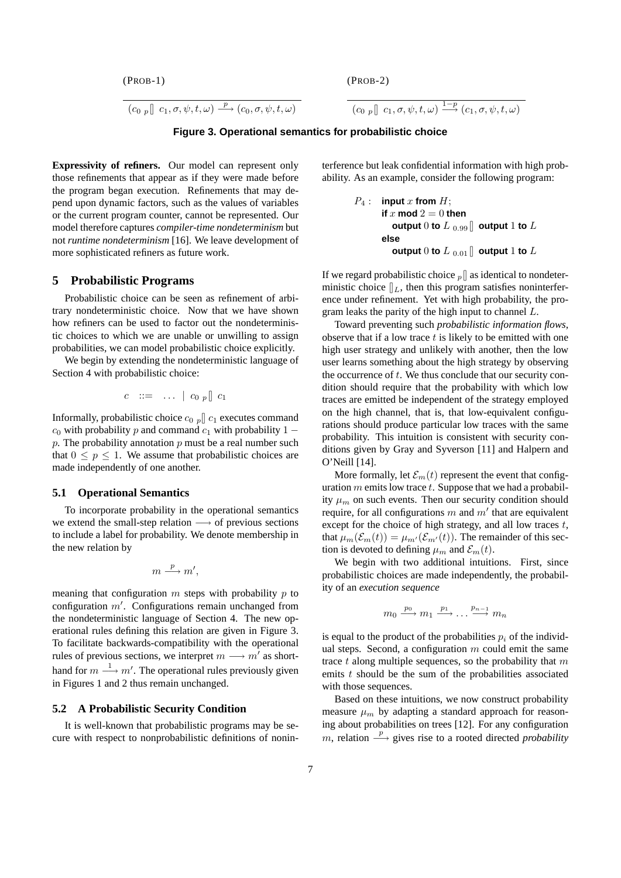(PROB-1)

(PROB-2)

$$
(c_0 p \mathbb{L} c_1, \sigma, \psi, t, \omega) \xrightarrow{p} (c_0, \sigma, \psi, t, \omega)
$$

$$
(c_0 \, p \, \mathbb{L} \, c_1, \sigma, \psi, t, \omega) \stackrel{1-p}{\longrightarrow} (c_1, \sigma, \psi, t, \omega)
$$

**Figure 3. Operational semantics for probabilistic choice**

**Expressivity of refiners.** Our model can represent only those refinements that appear as if they were made before the program began execution. Refinements that may depend upon dynamic factors, such as the values of variables or the current program counter, cannot be represented. Our model therefore captures *compiler-time nondeterminism* but not *runtime nondeterminism* [16]. We leave development of more sophisticated refiners as future work.

## **5 Probabilistic Programs**

Probabilistic choice can be seen as refinement of arbitrary nondeterministic choice. Now that we have shown how refiners can be used to factor out the nondeterministic choices to which we are unable or unwilling to assign probabilities, we can model probabilistic choice explicitly.

We begin by extending the nondeterministic language of Section 4 with probabilistic choice:

$$
c \ ::= \ \ldots \ | \ c_0 \ _p \mathbb{I} \ c_1
$$

Informally, probabilistic choice  $c_0$   $_p\|$   $c_1$  executes command  $c_0$  with probability p and command  $c_1$  with probability 1 −  $p$ . The probability annotation  $p$  must be a real number such that  $0 \leq p \leq 1$ . We assume that probabilistic choices are made independently of one another.

#### **5.1 Operational Semantics**

To incorporate probability in the operational semantics we extend the small-step relation  $\longrightarrow$  of previous sections to include a label for probability. We denote membership in the new relation by

$$
m \stackrel{p}{\longrightarrow} m',
$$

meaning that configuration  $m$  steps with probability  $p$  to configuration  $m'$ . Configurations remain unchanged from the nondeterministic language of Section 4. The new operational rules defining this relation are given in Figure 3. To facilitate backwards-compatibility with the operational rules of previous sections, we interpret  $m \longrightarrow m'$  as shorthand for  $m \stackrel{1}{\longrightarrow} m'$ . The operational rules previously given in Figures 1 and 2 thus remain unchanged.

# **5.2 A Probabilistic Security Condition**

It is well-known that probabilistic programs may be secure with respect to nonprobabilistic definitions of noninterference but leak confidential information with high probability. As an example, consider the following program:

| $P_4$ :                 | input x from H; |
|-------------------------|-----------------|
| if x mod 2 = 0 then     |                 |
| output 0 to L $_{0.99}$ |                 |
| else                    |                 |
| output 0 to L $_{0.01}$ |                 |
| output 1 to L           |                 |

If we regard probabilistic choice  $_p \parallel$  as identical to nondeterministic choice  $\parallel_L$ , then this program satisfies noninterference under refinement. Yet with high probability, the program leaks the parity of the high input to channel L.

Toward preventing such *probabilistic information flows*, observe that if a low trace  $t$  is likely to be emitted with one high user strategy and unlikely with another, then the low user learns something about the high strategy by observing the occurrence of  $t$ . We thus conclude that our security condition should require that the probability with which low traces are emitted be independent of the strategy employed on the high channel, that is, that low-equivalent configurations should produce particular low traces with the same probability. This intuition is consistent with security conditions given by Gray and Syverson [11] and Halpern and O'Neill [14].

More formally, let  $\mathcal{E}_m(t)$  represent the event that configuration  $m$  emits low trace  $t$ . Suppose that we had a probability  $\mu_m$  on such events. Then our security condition should require, for all configurations  $m$  and  $m'$  that are equivalent except for the choice of high strategy, and all low traces  $t$ , that  $\mu_m(\mathcal{E}_m(t)) = \mu_{m'}(\mathcal{E}_{m'}(t))$ . The remainder of this section is devoted to defining  $\mu_m$  and  $\mathcal{E}_m(t)$ .

We begin with two additional intuitions. First, since probabilistic choices are made independently, the probability of an *execution sequence*

$$
n_0 \xrightarrow{p_0} m_1 \xrightarrow{p_1} \dots \xrightarrow{p_{n-1}} m_n
$$

 $\mathbf{r}$ 

is equal to the product of the probabilities  $p_i$  of the individual steps. Second, a configuration  $m$  could emit the same trace  $t$  along multiple sequences, so the probability that  $m$ emits  $t$  should be the sum of the probabilities associated with those sequences.

Based on these intuitions, we now construct probability measure  $\mu_m$  by adapting a standard approach for reasoning about probabilities on trees [12]. For any configuration m, relation  $\stackrel{p}{\longrightarrow}$  gives rise to a rooted directed *probability*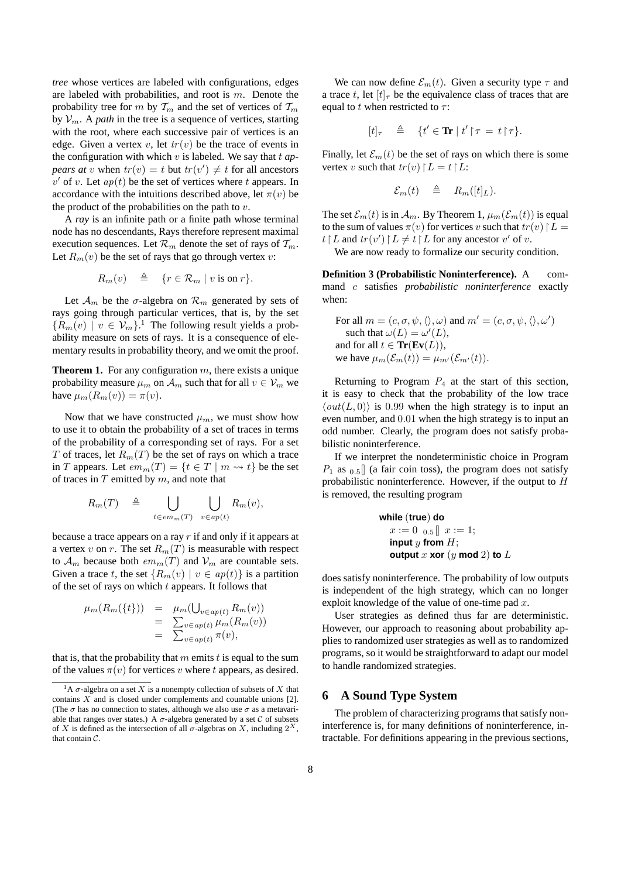*tree* whose vertices are labeled with configurations, edges are labeled with probabilities, and root is  $m$ . Denote the probability tree for m by  $T_m$  and the set of vertices of  $T_m$ by  $V_m$ . A *path* in the tree is a sequence of vertices, starting with the root, where each successive pair of vertices is an edge. Given a vertex v, let  $tr(v)$  be the trace of events in the configuration with which  $v$  is labeled. We say that  $t$  *appears at* v when  $tr(v) = t$  but  $tr(v') \neq t$  for all ancestors  $v'$  of v. Let  $ap(t)$  be the set of vertices where t appears. In accordance with the intuitions described above, let  $\pi(v)$  be the product of the probabilities on the path to  $v$ .

A *ray* is an infinite path or a finite path whose terminal node has no descendants, Rays therefore represent maximal execution sequences. Let  $\mathcal{R}_m$  denote the set of rays of  $\mathcal{T}_m$ . Let  $R_m(v)$  be the set of rays that go through vertex v:

$$
R_m(v) \triangleq \{r \in \mathcal{R}_m \mid v \text{ is on } r\}.
$$

Let  $\mathcal{A}_m$  be the  $\sigma$ -algebra on  $\mathcal{R}_m$  generated by sets of rays going through particular vertices, that is, by the set  ${R_m(v) \mid v \in \mathcal{V}_m}$ .<sup>1</sup> The following result yields a probability measure on sets of rays. It is a consequence of elementary results in probability theory, and we omit the proof.

**Theorem 1.** For any configuration  $m$ , there exists a unique probability measure  $\mu_m$  on  $\mathcal{A}_m$  such that for all  $v \in \mathcal{V}_m$  we have  $\mu_m(R_m(v)) = \pi(v)$ .

Now that we have constructed  $\mu_m$ , we must show how to use it to obtain the probability of a set of traces in terms of the probability of a corresponding set of rays. For a set T of traces, let  $R_m(T)$  be the set of rays on which a trace in T appears. Let  $em_m(T) = \{t \in T \mid m \leadsto t\}$  be the set of traces in  $T$  emitted by  $m$ , and note that

$$
R_m(T) \triangleq \bigcup_{t \in em_m(T)} \bigcup_{v \in ap(t)} R_m(v),
$$

because a trace appears on a ray  $r$  if and only if it appears at a vertex v on r. The set  $R_m(T)$  is measurable with respect to  $\mathcal{A}_m$  because both  $em_m(T)$  and  $\mathcal{V}_m$  are countable sets. Given a trace t, the set  $\{R_m(v) | v \in ap(t)\}\$ is a partition of the set of rays on which  $t$  appears. It follows that

$$
\mu_m(R_m(\lbrace t \rbrace)) = \mu_m(\bigcup_{v \in ap(t)} R_m(v))
$$
  
= 
$$
\sum_{v \in ap(t)} \mu_m(R_m(v))
$$
  
= 
$$
\sum_{v \in ap(t)} \pi(v),
$$

that is, that the probability that m emits t is equal to the sum of the values  $\pi(v)$  for vertices v where t appears, as desired.

We can now define  $\mathcal{E}_m(t)$ . Given a security type  $\tau$  and a trace t, let  $[t]_{\tau}$  be the equivalence class of traces that are equal to t when restricted to  $\tau$ :

$$
[t]_{\tau} \quad \triangleq \quad \{t' \in \mathbf{Tr} \mid t' \upharpoonright \tau = t \upharpoonright \tau\}.
$$

Finally, let  $\mathcal{E}_m(t)$  be the set of rays on which there is some vertex v such that  $tr(v) \upharpoonright L = t \upharpoonright L$ :

$$
\mathcal{E}_m(t) \quad \triangleq \quad R_m([t]_L).
$$

The set  $\mathcal{E}_m(t)$  is in  $\mathcal{A}_m$ . By Theorem 1,  $\mu_m(\mathcal{E}_m(t))$  is equal to the sum of values  $\pi(v)$  for vertices v such that  $tr(v) \upharpoonright L =$  $t \upharpoonright L$  and  $tr(v') \upharpoonright L \neq t \upharpoonright L$  for any ancestor  $v'$  of  $v$ .

We are now ready to formalize our security condition.

**Definition 3 (Probabilistic Noninterference).** A command c satisfies *probabilistic noninterference* exactly when:

For all 
$$
m = (c, \sigma, \psi, \langle \rangle, \omega)
$$
 and  $m' = (c, \sigma, \psi, \langle \rangle, \omega')$   
such that  $\omega(L) = \omega'(L)$ ,  
and for all  $t \in \text{Tr}(\text{Ev}(L))$ ,  
we have  $\mu_m(\mathcal{E}_m(t)) = \mu_{m'}(\mathcal{E}_{m'}(t))$ .

Returning to Program  $P_4$  at the start of this section, it is easy to check that the probability of the low trace  $\langle out(L, 0) \rangle$  is 0.99 when the high strategy is to input an even number, and 0.01 when the high strategy is to input an odd number. Clearly, the program does not satisfy probabilistic noninterference.

If we interpret the nondeterministic choice in Program  $P_1$  as  $_{0.5}$  (a fair coin toss), the program does not satisfy probabilistic noninterference. However, if the output to H is removed, the resulting program

$$
\begin{array}{ll}\textbf{while (true) do}\\x := 0 \;\; _{0.5}\,\llbracket \;\; x := 1;\\ \textbf{input } y \text{ from } H;\\ \textbf{output } x \text{ xor } (y \text{ mod } 2) \text{ to } L \end{array}
$$

does satisfy noninterference. The probability of low outputs is independent of the high strategy, which can no longer exploit knowledge of the value of one-time pad  $x$ .

User strategies as defined thus far are deterministic. However, our approach to reasoning about probability applies to randomized user strategies as well as to randomized programs, so it would be straightforward to adapt our model to handle randomized strategies.

## **6 A Sound Type System**

The problem of characterizing programs that satisfy noninterference is, for many definitions of noninterference, intractable. For definitions appearing in the previous sections,

<sup>&</sup>lt;sup>1</sup>A  $\sigma$ -algebra on a set X is a nonempty collection of subsets of X that contains  $\overline{X}$  and is closed under complements and countable unions [2]. (The  $\sigma$  has no connection to states, although we also use  $\sigma$  as a metavariable that ranges over states.) A  $\sigma$ -algebra generated by a set C of subsets of X is defined as the intersection of all  $\sigma$ -algebras on X, including  $2^X$ , that contain C.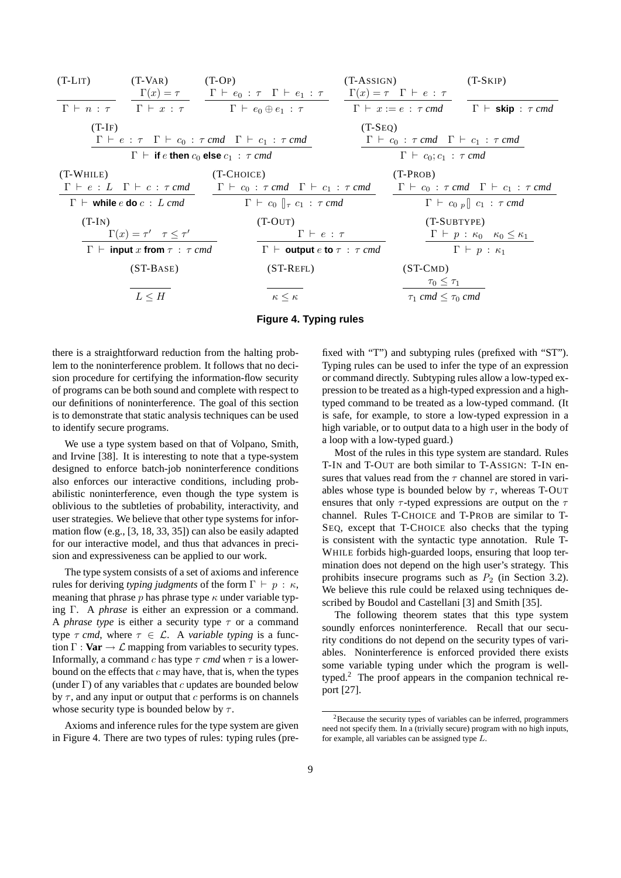| $(T-VAR)$<br>$(T-LIT)$                                                                                                                          | $(T-OP)$                                                                                                                                                                                                                               |           | $(T-ASSIGN)$                                                                  | $(T-SKIP)$                                                                                      |  |
|-------------------------------------------------------------------------------------------------------------------------------------------------|----------------------------------------------------------------------------------------------------------------------------------------------------------------------------------------------------------------------------------------|-----------|-------------------------------------------------------------------------------|-------------------------------------------------------------------------------------------------|--|
|                                                                                                                                                 | $\Gamma(x) = \tau \qquad \Gamma \vdash e_0 : \tau \quad \Gamma \vdash e_1 : \tau \qquad \Gamma(x) = \tau \quad \Gamma \vdash e : \tau$                                                                                                 |           |                                                                               |                                                                                                 |  |
| $\Gamma \vdash n : \tau \qquad \Gamma \vdash x : \tau \qquad \qquad \Gamma \vdash e_0 \oplus e_1 : \tau$                                        |                                                                                                                                                                                                                                        |           |                                                                               | $\Gamma \vdash x := e : \tau \text{ cmd} \qquad \Gamma \vdash \textbf{skip} : \tau \text{ cmd}$ |  |
| $(T-IF)$                                                                                                                                        |                                                                                                                                                                                                                                        | $(T-SEO)$ |                                                                               |                                                                                                 |  |
| $\Gamma \vdash e : \tau \quad \Gamma \vdash c_0 : \tau \text{ cmd} \quad \Gamma \vdash c_1 : \tau \text{ cmd}$                                  |                                                                                                                                                                                                                                        |           | $\Gamma \vdash c_0 : \tau \text{ cmd } \Gamma \vdash c_1 : \tau \text{ cmd }$ |                                                                                                 |  |
| $\Gamma \vdash$ if e then $c_0$ else $c_1 : \tau$ cmd                                                                                           |                                                                                                                                                                                                                                        |           | $\Gamma \vdash c_0; c_1 : \tau \text{ cmd}$                                   |                                                                                                 |  |
| $(T-WHILE)$                                                                                                                                     | (T-CHOICE)                                                                                                                                                                                                                             |           | $(T-PROB)$                                                                    |                                                                                                 |  |
|                                                                                                                                                 | $\Gamma \vdash e : L \quad \Gamma \vdash c : \tau \text{ cmd}$ $\Gamma \vdash c_0 : \tau \text{ cmd} \quad \Gamma \vdash c_1 : \tau \text{ cmd} \quad \Gamma \vdash c_0 : \tau \text{ cmd} \quad \Gamma \vdash c_1 : \tau \text{ cmd}$ |           |                                                                               |                                                                                                 |  |
| $\Gamma \vdash \mathsf{while} \ e \ \mathsf{do} \ c \, : \ L \ c \mathsf{m} \ d$<br>$\Gamma \vdash c_0 \parallel_{\tau} c_1 : \tau \text{ cmd}$ |                                                                                                                                                                                                                                        |           | $\Gamma \vdash c_{0 p} \parallel c_1 : \tau \text{ cmd}$                      |                                                                                                 |  |
| $(T-IN)$                                                                                                                                        | $(T-OUT)$                                                                                                                                                                                                                              |           | (T-SUBTYPE)                                                                   |                                                                                                 |  |
| $\Gamma(x) = \tau' \quad \tau \leq \tau'$                                                                                                       | $\Gamma \vdash e : \tau$                                                                                                                                                                                                               |           | $\Gamma \vdash p : \kappa_0 \quad \kappa_0 \leq \kappa_1$                     |                                                                                                 |  |
| $\Gamma \vdash$ input x from $\tau : \tau$ cmd                                                                                                  | $\Gamma \vdash$ output e to $\tau : \tau$ cmd                                                                                                                                                                                          |           | $\Gamma \vdash p : \kappa_1$                                                  |                                                                                                 |  |
| $(ST-BASE)$                                                                                                                                     | $(ST-REFL)$                                                                                                                                                                                                                            |           | $(ST-CMD)$                                                                    |                                                                                                 |  |
|                                                                                                                                                 |                                                                                                                                                                                                                                        |           | $\tau_0 \leq \tau_1$                                                          |                                                                                                 |  |
| $L \leq H$                                                                                                                                      | $\kappa \leq \kappa$                                                                                                                                                                                                                   |           | $\tau_1$ cmd $\leq \tau_0$ cmd                                                |                                                                                                 |  |

**Figure 4. Typing rules**

there is a straightforward reduction from the halting problem to the noninterference problem. It follows that no decision procedure for certifying the information-flow security of programs can be both sound and complete with respect to our definitions of noninterference. The goal of this section is to demonstrate that static analysis techniques can be used to identify secure programs.

We use a type system based on that of Volpano, Smith, and Irvine [38]. It is interesting to note that a type-system designed to enforce batch-job noninterference conditions also enforces our interactive conditions, including probabilistic noninterference, even though the type system is oblivious to the subtleties of probability, interactivity, and user strategies. We believe that other type systems for information flow (e.g., [3, 18, 33, 35]) can also be easily adapted for our interactive model, and thus that advances in precision and expressiveness can be applied to our work.

The type system consists of a set of axioms and inference rules for deriving *typing judgments* of the form  $\Gamma \vdash p : \kappa$ , meaning that phrase p has phrase type  $\kappa$  under variable typing Γ. A *phrase* is either an expression or a command. A *phrase type* is either a security type  $\tau$  or a command type  $\tau$  *cmd*, where  $\tau \in \mathcal{L}$ . A *variable typing* is a function  $\Gamma : \textbf{Var} \to \mathcal{L}$  mapping from variables to security types. Informally, a command c has type  $\tau$  *cmd* when  $\tau$  is a lowerbound on the effects that  $c$  may have, that is, when the types (under  $\Gamma$ ) of any variables that c updates are bounded below by  $\tau$ , and any input or output that c performs is on channels whose security type is bounded below by  $\tau$ .

Axioms and inference rules for the type system are given in Figure 4. There are two types of rules: typing rules (prefixed with "T") and subtyping rules (prefixed with "ST"). Typing rules can be used to infer the type of an expression or command directly. Subtyping rules allow a low-typed expression to be treated as a high-typed expression and a hightyped command to be treated as a low-typed command. (It is safe, for example, to store a low-typed expression in a high variable, or to output data to a high user in the body of a loop with a low-typed guard.)

Most of the rules in this type system are standard. Rules T-IN and T-OUT are both similar to T-ASSIGN: T-IN ensures that values read from the  $\tau$  channel are stored in variables whose type is bounded below by  $\tau$ , whereas T-OUT ensures that only  $\tau$ -typed expressions are output on the  $\tau$ channel. Rules T-CHOICE and T-PROB are similar to T-SEQ, except that T-CHOICE also checks that the typing is consistent with the syntactic type annotation. Rule T-WHILE forbids high-guarded loops, ensuring that loop termination does not depend on the high user's strategy. This prohibits insecure programs such as  $P_2$  (in Section 3.2). We believe this rule could be relaxed using techniques described by Boudol and Castellani [3] and Smith [35].

The following theorem states that this type system soundly enforces noninterference. Recall that our security conditions do not depend on the security types of variables. Noninterference is enforced provided there exists some variable typing under which the program is welltyped.<sup>2</sup> The proof appears in the companion technical report [27].

<sup>2</sup>Because the security types of variables can be inferred, programmers need not specify them. In a (trivially secure) program with no high inputs, for example, all variables can be assigned type L.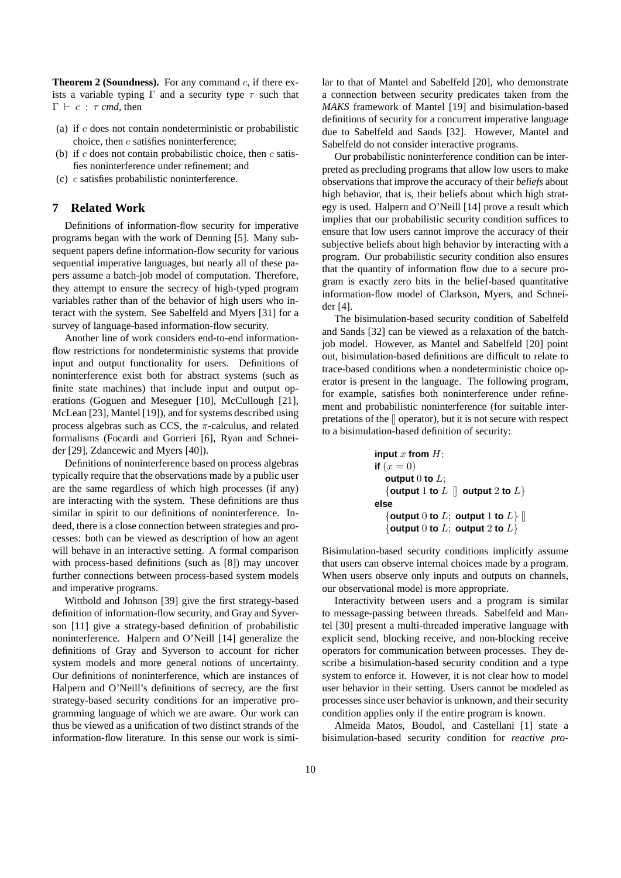**Theorem 2 (Soundness).** For any command  $c$ , if there exists a variable typing  $\Gamma$  and a security type  $\tau$  such that  $\Gamma \vdash c : \tau \text{ cmd, then}$ 

- (a) if c does not contain nondeterministic or probabilistic choice, then c satisfies noninterference;
- (b) if  $c$  does not contain probabilistic choice, then  $c$  satisfies noninterference under refinement; and
- (c) c satisfies probabilistic noninterference.

# **7 Related Work**

Definitions of information-flow security for imperative programs began with the work of Denning [5]. Many subsequent papers define information-flow security for various sequential imperative languages, but nearly all of these papers assume a batch-job model of computation. Therefore, they attempt to ensure the secrecy of high-typed program variables rather than of the behavior of high users who interact with the system. See Sabelfeld and Myers [31] for a survey of language-based information-flow security.

Another line of work considers end-to-end informationflow restrictions for nondeterministic systems that provide input and output functionality for users. Definitions of noninterference exist both for abstract systems (such as finite state machines) that include input and output operations (Goguen and Meseguer [10], McCullough [21], McLean [23], Mantel [19]), and for systems described using process algebras such as CCS, the  $\pi$ -calculus, and related formalisms (Focardi and Gorrieri [6], Ryan and Schneider [29], Zdancewic and Myers [40]).

Definitions of noninterference based on process algebras typically require that the observations made by a public user are the same regardless of which high processes (if any) are interacting with the system. These definitions are thus similar in spirit to our definitions of noninterference. Indeed, there is a close connection between strategies and processes: both can be viewed as description of how an agent will behave in an interactive setting. A formal comparison with process-based definitions (such as [8]) may uncover further connections between process-based system models and imperative programs.

Wittbold and Johnson [39] give the first strategy-based definition of information-flow security, and Gray and Syverson [11] give a strategy-based definition of probabilistic noninterference. Halpern and O'Neill [14] generalize the definitions of Gray and Syverson to account for richer system models and more general notions of uncertainty. Our definitions of noninterference, which are instances of Halpern and O'Neill's definitions of secrecy, are the first strategy-based security conditions for an imperative programming language of which we are aware. Our work can thus be viewed as a unification of two distinct strands of the information-flow literature. In this sense our work is similar to that of Mantel and Sabelfeld [20], who demonstrate a connection between security predicates taken from the *MAKS* framework of Mantel [19] and bisimulation-based definitions of security for a concurrent imperative language due to Sabelfeld and Sands [32]. However, Mantel and Sabelfeld do not consider interactive programs.

Our probabilistic noninterference condition can be interpreted as precluding programs that allow low users to make observations that improve the accuracy of their *beliefs* about high behavior, that is, their beliefs about which high strategy is used. Halpern and O'Neill [14] prove a result which implies that our probabilistic security condition suffices to ensure that low users cannot improve the accuracy of their subjective beliefs about high behavior by interacting with a program. Our probabilistic security condition also ensures that the quantity of information flow due to a secure program is exactly zero bits in the belief-based quantitative information-flow model of Clarkson, Myers, and Schneider [4].

The bisimulation-based security condition of Sabelfeld and Sands [32] can be viewed as a relaxation of the batchjob model. However, as Mantel and Sabelfeld [20] point out, bisimulation-based definitions are difficult to relate to trace-based conditions when a nondeterministic choice operator is present in the language. The following program, for example, satisfies both noninterference under refinement and probabilistic noninterference (for suitable interpretations of the  $\parallel$  operator), but it is not secure with respect to a bisimulation-based definition of security:

```
input x from H;
if (x=0)output 0 to L;
   \{ output 1 to L \parallel output 2 to L \}else
   \{ output \{0 \text{ to } L; \text{ output } 1 \text{ to } L\}{output 0 to L; output 2 to L}
```
Bisimulation-based security conditions implicitly assume that users can observe internal choices made by a program. When users observe only inputs and outputs on channels, our observational model is more appropriate.

Interactivity between users and a program is similar to message-passing between threads. Sabelfeld and Mantel [30] present a multi-threaded imperative language with explicit send, blocking receive, and non-blocking receive operators for communication between processes. They describe a bisimulation-based security condition and a type system to enforce it. However, it is not clear how to model user behavior in their setting. Users cannot be modeled as processes since user behavior is unknown, and their security condition applies only if the entire program is known.

Almeida Matos, Boudol, and Castellani [1] state a bisimulation-based security condition for *reactive pro-*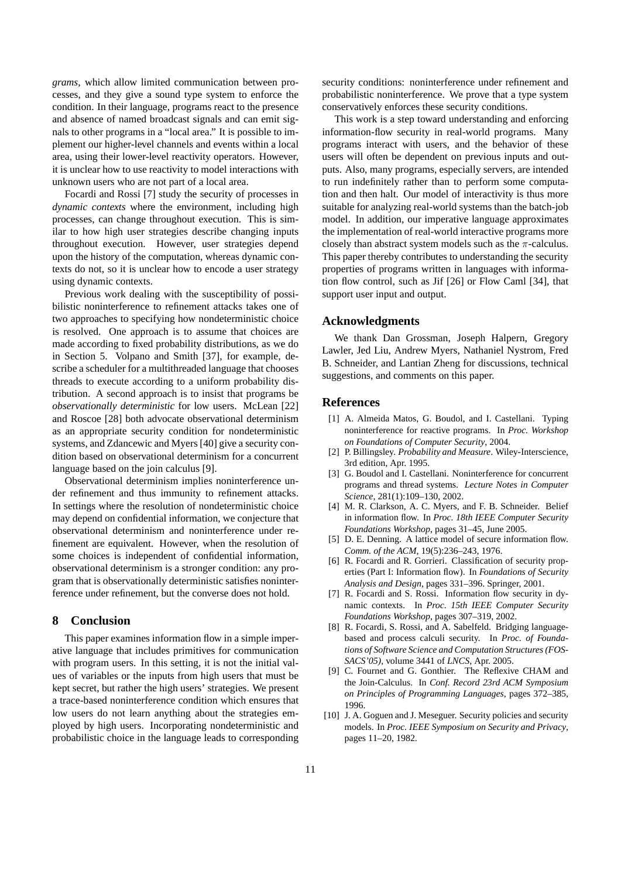*grams*, which allow limited communication between processes, and they give a sound type system to enforce the condition. In their language, programs react to the presence and absence of named broadcast signals and can emit signals to other programs in a "local area." It is possible to implement our higher-level channels and events within a local area, using their lower-level reactivity operators. However, it is unclear how to use reactivity to model interactions with unknown users who are not part of a local area.

Focardi and Rossi [7] study the security of processes in *dynamic contexts* where the environment, including high processes, can change throughout execution. This is similar to how high user strategies describe changing inputs throughout execution. However, user strategies depend upon the history of the computation, whereas dynamic contexts do not, so it is unclear how to encode a user strategy using dynamic contexts.

Previous work dealing with the susceptibility of possibilistic noninterference to refinement attacks takes one of two approaches to specifying how nondeterministic choice is resolved. One approach is to assume that choices are made according to fixed probability distributions, as we do in Section 5. Volpano and Smith [37], for example, describe a scheduler for a multithreaded language that chooses threads to execute according to a uniform probability distribution. A second approach is to insist that programs be *observationally deterministic* for low users. McLean [22] and Roscoe [28] both advocate observational determinism as an appropriate security condition for nondeterministic systems, and Zdancewic and Myers [40] give a security condition based on observational determinism for a concurrent language based on the join calculus [9].

Observational determinism implies noninterference under refinement and thus immunity to refinement attacks. In settings where the resolution of nondeterministic choice may depend on confidential information, we conjecture that observational determinism and noninterference under refinement are equivalent. However, when the resolution of some choices is independent of confidential information, observational determinism is a stronger condition: any program that is observationally deterministic satisfies noninterference under refinement, but the converse does not hold.

# **8 Conclusion**

This paper examines information flow in a simple imperative language that includes primitives for communication with program users. In this setting, it is not the initial values of variables or the inputs from high users that must be kept secret, but rather the high users' strategies. We present a trace-based noninterference condition which ensures that low users do not learn anything about the strategies employed by high users. Incorporating nondeterministic and probabilistic choice in the language leads to corresponding security conditions: noninterference under refinement and probabilistic noninterference. We prove that a type system conservatively enforces these security conditions.

This work is a step toward understanding and enforcing information-flow security in real-world programs. Many programs interact with users, and the behavior of these users will often be dependent on previous inputs and outputs. Also, many programs, especially servers, are intended to run indefinitely rather than to perform some computation and then halt. Our model of interactivity is thus more suitable for analyzing real-world systems than the batch-job model. In addition, our imperative language approximates the implementation of real-world interactive programs more closely than abstract system models such as the  $\pi$ -calculus. This paper thereby contributes to understanding the security properties of programs written in languages with information flow control, such as Jif [26] or Flow Caml [34], that support user input and output.

#### **Acknowledgments**

We thank Dan Grossman, Joseph Halpern, Gregory Lawler, Jed Liu, Andrew Myers, Nathaniel Nystrom, Fred B. Schneider, and Lantian Zheng for discussions, technical suggestions, and comments on this paper.

#### **References**

- [1] A. Almeida Matos, G. Boudol, and I. Castellani. Typing noninterference for reactive programs. In *Proc. Workshop on Foundations of Computer Security*, 2004.
- [2] P. Billingsley. *Probability and Measure*. Wiley-Interscience, 3rd edition, Apr. 1995.
- [3] G. Boudol and I. Castellani. Noninterference for concurrent programs and thread systems. *Lecture Notes in Computer Science*, 281(1):109–130, 2002.
- [4] M. R. Clarkson, A. C. Myers, and F. B. Schneider. Belief in information flow. In *Proc. 18th IEEE Computer Security Foundations Workshop*, pages 31–45, June 2005.
- [5] D. E. Denning. A lattice model of secure information flow. *Comm. of the ACM*, 19(5):236–243, 1976.
- [6] R. Focardi and R. Gorrieri. Classification of security properties (Part I: Information flow). In *Foundations of Security Analysis and Design*, pages 331–396. Springer, 2001.
- [7] R. Focardi and S. Rossi. Information flow security in dynamic contexts. In *Proc. 15th IEEE Computer Security Foundations Workshop*, pages 307–319, 2002.
- [8] R. Focardi, S. Rossi, and A. Sabelfeld. Bridging languagebased and process calculi security. In *Proc. of Foundations of Software Science and Computation Structures (FOS-SACS'05)*, volume 3441 of *LNCS*, Apr. 2005.
- [9] C. Fournet and G. Gonthier. The Reflexive CHAM and the Join-Calculus. In *Conf. Record 23rd ACM Symposium on Principles of Programming Languages*, pages 372–385, 1996.
- [10] J. A. Goguen and J. Meseguer. Security policies and security models. In *Proc. IEEE Symposium on Security and Privacy*, pages 11–20, 1982.